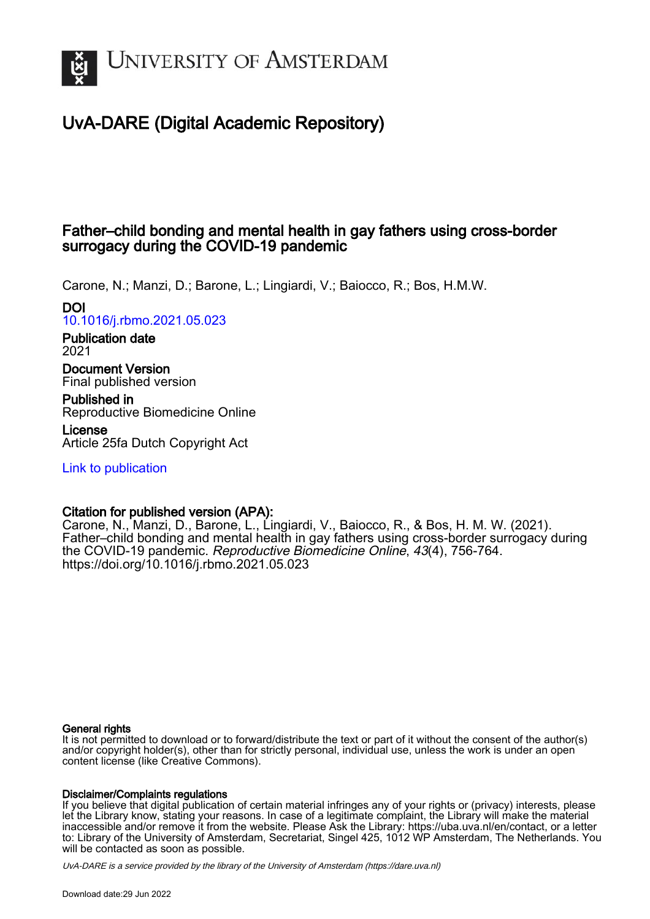

# UvA-DARE (Digital Academic Repository)

## Father–child bonding and mental health in gay fathers using cross-border surrogacy during the COVID-19 pandemic

Carone, N.; Manzi, D.; Barone, L.; Lingiardi, V.; Baiocco, R.; Bos, H.M.W. DOI

[10.1016/j.rbmo.2021.05.023](https://doi.org/10.1016/j.rbmo.2021.05.023)

Publication date 2021

Document Version Final published version

Published in Reproductive Biomedicine Online

License Article 25fa Dutch Copyright Act

[Link to publication](https://dare.uva.nl/personal/pure/en/publications/fatherchild-bonding-and-mental-health-in-gay-fathers-using-crossborder-surrogacy-during-the-covid19-pandemic(4ccad9d3-b55a-40a0-ae35-b845a2d3debd).html)

### Citation for published version (APA):

Carone, N., Manzi, D., Barone, L., Lingiardi, V., Baiocco, R., & Bos, H. M. W. (2021). Father–child bonding and mental health in gay fathers using cross-border surrogacy during the COVID-19 pandemic. Reproductive Biomedicine Online, 43(4), 756-764. <https://doi.org/10.1016/j.rbmo.2021.05.023>

#### General rights

It is not permitted to download or to forward/distribute the text or part of it without the consent of the author(s) and/or copyright holder(s), other than for strictly personal, individual use, unless the work is under an open content license (like Creative Commons).

#### Disclaimer/Complaints regulations

If you believe that digital publication of certain material infringes any of your rights or (privacy) interests, please let the Library know, stating your reasons. In case of a legitimate complaint, the Library will make the material inaccessible and/or remove it from the website. Please Ask the Library: https://uba.uva.nl/en/contact, or a letter to: Library of the University of Amsterdam, Secretariat, Singel 425, 1012 WP Amsterdam, The Netherlands. You will be contacted as soon as possible.

UvA-DARE is a service provided by the library of the University of Amsterdam (http*s*://dare.uva.nl)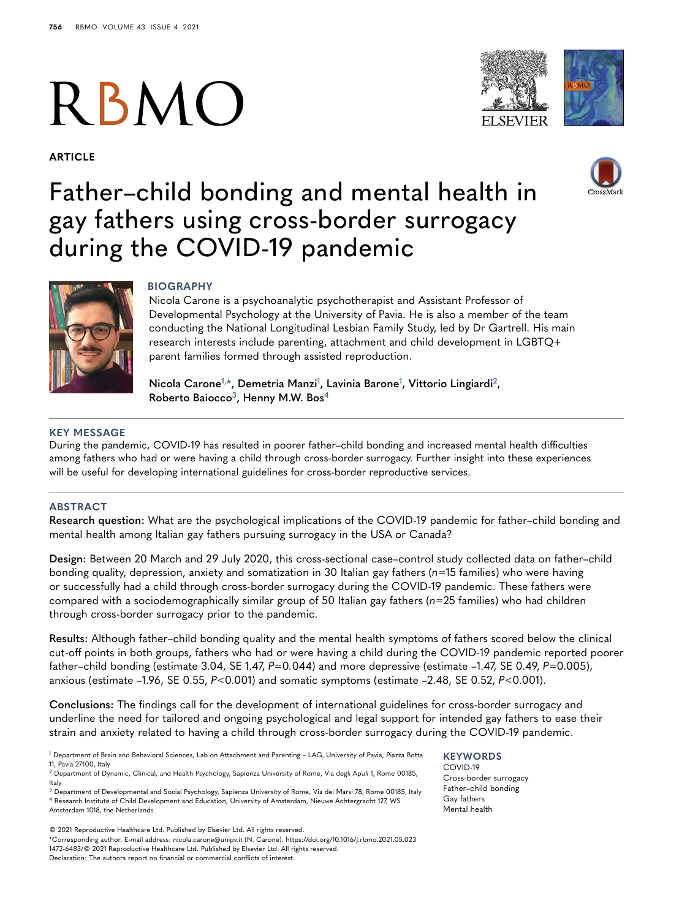# **RBMO**

**ARTICLE**





# Father–child bonding and mental health in gay fathers using cross-border surrogacy during the COVID-19 pandemic



#### **BIOGRAPHY**

Nicola Carone is a psychoanalytic psychotherapist and Assistant Professor of Developmental Psychology at the University of Pavia. He is also a member of the team conducting the National Longitudinal Lesbian Family Study, led by Dr Gartrell. His main research interests include parenting, attachment and child development in LGBTQ+ parent families formed through assisted reproduction.

**Nicola Carone[1,](#page-1-0)[\\*,](#page-1-1) Demetria Manzi[1](#page-1-0) , Lavinia Barone[1](#page-1-0) , Vittorio Lingiardi[2](#page-1-2), Roberto Baiocco[3](#page-1-3), Henny M.W. Bos[4](#page-1-4)**

#### **KEY MESSAGE**

During the pandemic, COVID-19 has resulted in poorer father–child bonding and increased mental health difficulties among fathers who had or were having a child through cross-border surrogacy. Further insight into these experiences will be useful for developing international guidelines for cross-border reproductive services.

#### **ABSTRACT**

**Research question:** What are the psychological implications of the COVID-19 pandemic for father–child bonding and mental health among Italian gay fathers pursuing surrogacy in the USA or Canada?

**Design:** Between 20 March and 29 July 2020, this cross-sectional case–control study collected data on father–child bonding quality, depression, anxiety and somatization in 30 Italian gay fathers (*n*=15 families) who were having or successfully had a child through cross-border surrogacy during the COVID-19 pandemic. These fathers were compared with a sociodemographically similar group of 50 Italian gay fathers (*n*=25 families) who had children through cross-border surrogacy prior to the pandemic.

**Results:** Although father–child bonding quality and the mental health symptoms of fathers scored below the clinical cut-off points in both groups, fathers who had or were having a child during the COVID-19 pandemic reported poorer father–child bonding (estimate 3.04, SE 1.47, *P*=0*.*044) and more depressive (estimate –1.47, SE 0.49, *P*=0.005), anxious (estimate –1.96, SE 0.55, *P*<0.001) and somatic symptoms (estimate –2.48, SE 0.52, *P*<0.001).

**Conclusions:** The findings call for the development of international guidelines for cross-border surrogacy and underline the need for tailored and ongoing psychological and legal support for intended gay fathers to ease their strain and anxiety related to having a child through cross-border surrogacy during the COVID-19 pandemic.

<span id="page-1-0"></span><sup>1</sup> Department of Brain and Behavioral Sciences, Lab on Attachment and Parenting – LAG, University of Pavia, Piazza Botta 11, Pavia 27100, Italy

© 2021 Reproductive Healthcare Ltd. Published by Elsevier Ltd. All rights reserved.

<span id="page-1-1"></span>\*Corresponding author. E-mail address: nicola.carone@unipv.it (N. Carone). https://doi.org/10.1016/j.rbmo.2021.05.023 1472-6483/© 2021 Reproductive Healthcare Ltd. Published by Elsevier Ltd. All rights reserved. Declaration: The authors report no financial or commercial conflicts of interest.

#### **KEYWORDS**

COVID-19 Cross-border surrogacy Father–child bonding Gay fathers Mental health

<span id="page-1-2"></span><sup>2</sup> Department of Dynamic, Clinical, and Health Psychology, Sapienza University of Rome, Via degli Apuli 1, Rome 00185, Italy

<span id="page-1-4"></span><span id="page-1-3"></span><sup>3</sup> Department of Developmental and Social Psychology, Sapienza University of Rome, Via dei Marsi 78, Rome 00185, Italy <sup>4</sup> Research Institute of Child Development and Education, University of Amsterdam, Nieuwe Achtergracht 127, WS Amsterdam 1018, the Netherlands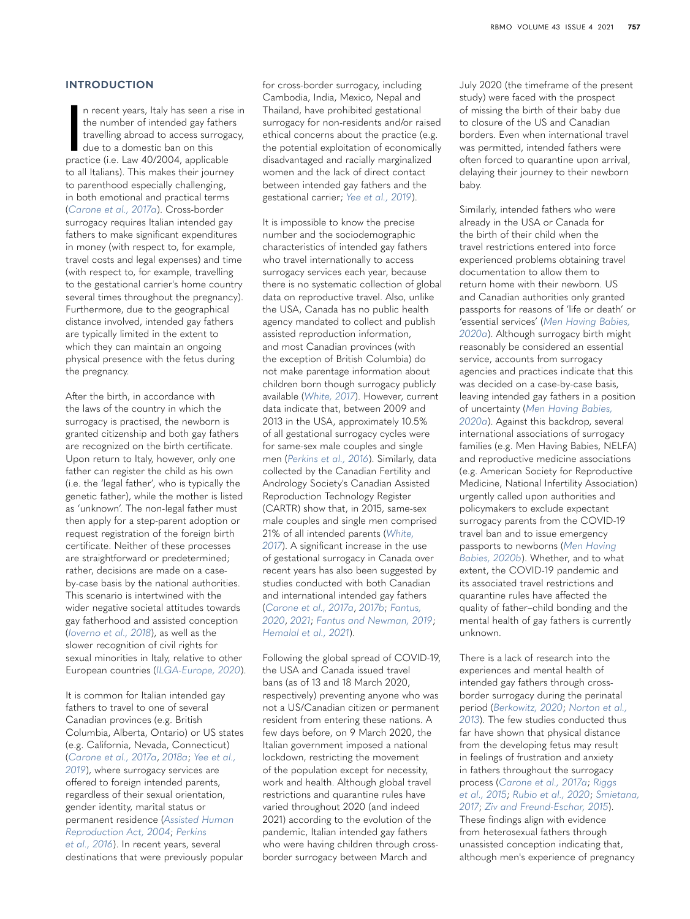#### **INTRODUCTION**

n recent years, Italy has seen a rise<br>the number of intended gay father<br>travelling abroad to access surroge<br>due to a domestic ban on this<br>practice (i.e. Law 40/2004, applicable n recent years, Italy has seen a rise in the number of intended gay fathers travelling abroad to access surrogacy, due to a domestic ban on this to all Italians). This makes their journey to parenthood especially challenging, in both emotional and practical terms (*[Carone et al., 2017a](#page-8-0)*). Cross-border surrogacy requires Italian intended gay fathers to make significant expenditures in money (with respect to, for example, travel costs and legal expenses) and time (with respect to, for example, travelling to the gestational carrier's home country several times throughout the pregnancy). Furthermore, due to the geographical distance involved, intended gay fathers are typically limited in the extent to which they can maintain an ongoing physical presence with the fetus during the pregnancy.

After the birth, in accordance with the laws of the country in which the surrogacy is practised, the newborn is granted citizenship and both gay fathers are recognized on the birth certificate. Upon return to Italy, however, only one father can register the child as his own (i.e. the 'legal father', who is typically the genetic father), while the mother is listed as 'unknown'. The non-legal father must then apply for a step-parent adoption or request registration of the foreign birth certificate. Neither of these processes are straightforward or predetermined; rather, decisions are made on a caseby-case basis by the national authorities. This scenario is intertwined with the wider negative societal attitudes towards gay fatherhood and assisted conception (*[Ioverno et al., 2018](#page-9-0)*), as well as the slower recognition of civil rights for sexual minorities in Italy, relative to other European countries (*[ILGA-Europe, 2020](#page-9-1)*).

It is common for Italian intended gay fathers to travel to one of several Canadian provinces (e.g. British Columbia, Alberta, Ontario) or US states (e.g. California, Nevada, Connecticut) (*[Carone et al., 2017a](#page-8-0)*, *[2018a](#page-8-1)*; *[Yee et al.,](#page-9-2)  [2019](#page-9-2)*), where surrogacy services are offered to foreign intended parents, regardless of their sexual orientation, gender identity, marital status or permanent residence (*[Assisted Human](#page-8-2)  [Reproduction Act, 2004](#page-8-2)*; *[Perkins](#page-9-3)  [et al., 2016](#page-9-3)*). In recent years, several destinations that were previously popular

for cross-border surrogacy, including Cambodia, India, Mexico, Nepal and Thailand, have prohibited gestational surrogacy for non-residents and/or raised ethical concerns about the practice (e.g. the potential exploitation of economically disadvantaged and racially marginalized women and the lack of direct contact between intended gay fathers and the gestational carrier; *[Yee et al., 2019](#page-9-2)*).

It is impossible to know the precise number and the sociodemographic characteristics of intended gay fathers who travel internationally to access surrogacy services each year, because there is no systematic collection of global data on reproductive travel. Also, unlike the USA, Canada has no public health agency mandated to collect and publish assisted reproduction information, and most Canadian provinces (with the exception of British Columbia) do not make parentage information about children born though surrogacy publicly available (*[White, 2017](#page-9-4)*). However, current data indicate that, between 2009 and 2013 in the USA, approximately 10.5% of all gestational surrogacy cycles were for same-sex male couples and single men (*[Perkins et al., 2016](#page-9-3)*). Similarly, data collected by the Canadian Fertility and Andrology Society's Canadian Assisted Reproduction Technology Register (CARTR) show that, in 2015, same-sex male couples and single men comprised 21% of all intended parents (*[White,](#page-9-4)  [2017](#page-9-4)*). A significant increase in the use of gestational surrogacy in Canada over recent years has also been suggested by studies conducted with both Canadian and international intended gay fathers (*[Carone et al., 2017a](#page-8-0)*, *[2017b](#page-8-3)*; *[Fantus,](#page-8-4)  [2020](#page-8-4)*, *[2021](#page-8-5)*; *[Fantus and Newman, 2019](#page-8-6)*; *[Hemalal et al., 2021](#page-8-7)*).

Following the global spread of COVID-19, the USA and Canada issued travel bans (as of 13 and 18 March 2020, respectively) preventing anyone who was not a US/Canadian citizen or permanent resident from entering these nations. A few days before, on 9 March 2020, the Italian government imposed a national lockdown, restricting the movement of the population except for necessity, work and health. Although global travel restrictions and quarantine rules have varied throughout 2020 (and indeed 2021) according to the evolution of the pandemic, Italian intended gay fathers who were having children through crossborder surrogacy between March and

July 2020 (the timeframe of the present study) were faced with the prospect of missing the birth of their baby due to closure of the US and Canadian borders. Even when international travel was permitted, intended fathers were often forced to quarantine upon arrival, delaying their journey to their newborn baby.

Similarly, intended fathers who were already in the USA or Canada for the birth of their child when the travel restrictions entered into force experienced problems obtaining travel documentation to allow them to return home with their newborn. US and Canadian authorities only granted passports for reasons of 'life or death' or 'essential services' (*[Men Having Babies,](#page-9-5)  [2020a](#page-9-5)*). Although surrogacy birth might reasonably be considered an essential service, accounts from surrogacy agencies and practices indicate that this was decided on a case-by-case basis, leaving intended gay fathers in a position of uncertainty (*[Men Having Babies,](#page-9-5)  [2020a](#page-9-5)*). Against this backdrop, several international associations of surrogacy families (e.g. Men Having Babies, NELFA) and reproductive medicine associations (e.g. American Society for Reproductive Medicine, National Infertility Association) urgently called upon authorities and policymakers to exclude expectant surrogacy parents from the COVID-19 travel ban and to issue emergency passports to newborns (*[Men Having](#page-9-6)  [Babies, 2020b](#page-9-6)*). Whether, and to what extent, the COVID-19 pandemic and its associated travel restrictions and quarantine rules have affected the quality of father–child bonding and the mental health of gay fathers is currently unknown.

There is a lack of research into the experiences and mental health of intended gay fathers through crossborder surrogacy during the perinatal period (*[Berkowitz, 2020](#page-8-8)*; *[Norton et al.,](#page-9-7)  [2013](#page-9-7)*). The few studies conducted thus far have shown that physical distance from the developing fetus may result in feelings of frustration and anxiety in fathers throughout the surrogacy process (*[Carone et al., 2017a](#page-8-0)*; *[Riggs](#page-9-8)  [et al., 2015](#page-9-8)*; *[Rubio et al., 2020](#page-9-9)*; *[Smietana,](#page-9-10)  [2017](#page-9-10)*; *[Ziv and Freund-Eschar, 2015](#page-9-11)*).

These findings align with evidence from heterosexual fathers through unassisted conception indicating that, although men's experience of pregnancy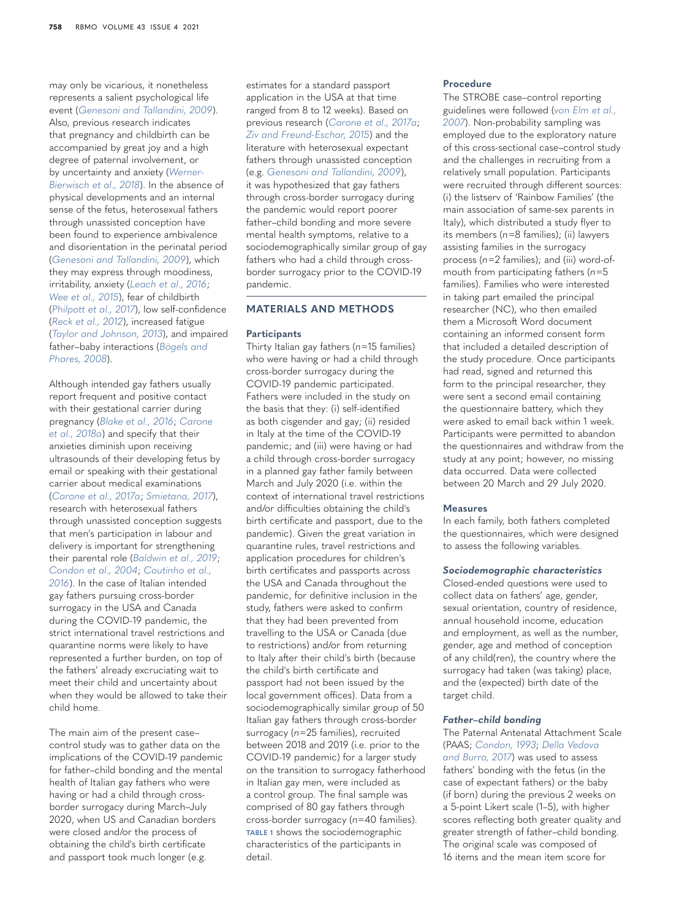may only be vicarious, it nonetheless represents a salient psychological life event (*[Genesoni and Tallandini, 2009](#page-8-9)*). Also, previous research indicates that pregnancy and childbirth can be accompanied by great joy and a high degree of paternal involvement, or by uncertainty and anxiety (*[Werner-](#page-9-12)[Bierwisch et al., 2018](#page-9-12)*). In the absence of physical developments and an internal sense of the fetus, heterosexual fathers through unassisted conception have been found to experience ambivalence and disorientation in the perinatal period (*[Genesoni and Tallandini, 2009](#page-8-9)*), which they may express through moodiness, irritability, anxiety (*[Leach et al., 2016](#page-9-13)*; *[Wee et al., 2015](#page-9-14)*), fear of childbirth (*[Philpott et al., 2017](#page-9-15)*), low self-confidence (*[Reck et al., 2012](#page-9-16)*), increased fatigue (*[Taylor and Johnson, 2013](#page-9-17)*), and impaired father–baby interactions (*[Bögels and](#page-8-10)  [Phares, 2008](#page-8-10)*).

Although intended gay fathers usually report frequent and positive contact with their gestational carrier during pregnancy (*[Blake et al., 2016](#page-8-11)*; *[Carone](#page-8-1)  [et al., 2018a](#page-8-1)*) and specify that their anxieties diminish upon receiving ultrasounds of their developing fetus by email or speaking with their gestational carrier about medical examinations (*[Carone et al., 2017a](#page-8-0)*; *[Smietana, 2017](#page-9-10)*), research with heterosexual fathers through unassisted conception suggests that men's participation in labour and delivery is important for strengthening their parental role (*[Baldwin et al., 2019](#page-8-12)*; *[Condon et al., 2004](#page-8-13)*; *[Coutinho et al.,](#page-8-14)  [2016](#page-8-14)*). In the case of Italian intended gay fathers pursuing cross-border surrogacy in the USA and Canada during the COVID-19 pandemic, the strict international travel restrictions and quarantine norms were likely to have represented a further burden, on top of

the fathers' already excruciating wait to meet their child and uncertainty about when they would be allowed to take their child home.

The main aim of the present case– control study was to gather data on the implications of the COVID-19 pandemic for father–child bonding and the mental health of Italian gay fathers who were having or had a child through crossborder surrogacy during March–July 2020, when US and Canadian borders were closed and/or the process of obtaining the child's birth certificate and passport took much longer (e.g.

estimates for a standard passport application in the USA at that time ranged from 8 to 12 weeks). Based on previous research (*[Carone et al., 2017a](#page-8-0)*; *[Ziv and Freund-Eschar, 2015](#page-9-11)*) and the literature with heterosexual expectant fathers through unassisted conception (e.g. *[Genesoni and Tallandini, 2009](#page-8-9)*), it was hypothesized that gay fathers through cross-border surrogacy during the pandemic would report poorer father–child bonding and more severe mental health symptoms, relative to a sociodemographically similar group of gay fathers who had a child through crossborder surrogacy prior to the COVID-19 pandemic.

#### **MATERIALS AND METHODS**

#### **Participants**

Thirty Italian gay fathers (*n*=15 families) who were having or had a child through cross-border surrogacy during the COVID-19 pandemic participated. Fathers were included in the study on the basis that they: (i) self-identified as both cisgender and gay; (ii) resided in Italy at the time of the COVID-19 pandemic; and (iii) were having or had a child through cross-border surrogacy in a planned gay father family between March and July 2020 (i.e. within the context of international travel restrictions and/or difficulties obtaining the child's birth certificate and passport, due to the pandemic). Given the great variation in quarantine rules, travel restrictions and application procedures for children's birth certificates and passports across the USA and Canada throughout the pandemic, for definitive inclusion in the study, fathers were asked to confirm that they had been prevented from travelling to the USA or Canada (due to restrictions) and/or from returning to Italy after their child's birth (because the child's birth certificate and passport had not been issued by the local government offices). Data from a sociodemographically similar group of 50 Italian gay fathers through cross-border surrogacy (*n*=25 families), recruited between 2018 and 2019 (i.e. prior to the COVID-19 pandemic) for a larger study on the transition to surrogacy fatherhood in Italian gay men, were included as a control group. The final sample was comprised of 80 gay fathers through cross-border surrogacy (*n*=40 families). **[TABLE 1](#page-4-0)** shows the sociodemographic characteristics of the participants in detail.

#### **Procedure**

The STROBE case–control reporting guidelines were followed (*[von Elm et al.,](#page-9-18)  [2007](#page-9-18)*). Non-probability sampling was employed due to the exploratory nature of this cross-sectional case–control study and the challenges in recruiting from a relatively small population. Participants were recruited through different sources: (i) the listserv of 'Rainbow Families' (the main association of same-sex parents in Italy), which distributed a study flyer to its members (*n*=8 families); (ii) lawyers assisting families in the surrogacy process (*n*=2 families); and (iii) word-ofmouth from participating fathers (*n*=5 families). Families who were interested in taking part emailed the principal researcher (NC), who then emailed them a Microsoft Word document containing an informed consent form that included a detailed description of the study procedure. Once participants had read, signed and returned this form to the principal researcher, they were sent a second email containing the questionnaire battery, which they were asked to email back within 1 week. Participants were permitted to abandon the questionnaires and withdraw from the study at any point; however, no missing data occurred. Data were collected between 20 March and 29 July 2020.

#### **Measures**

In each family, both fathers completed the questionnaires, which were designed to assess the following variables.

#### *Sociodemographic characteristics*

Closed-ended questions were used to collect data on fathers' age, gender, sexual orientation, country of residence, annual household income, education and employment, as well as the number, gender, age and method of conception of any child(ren), the country where the surrogacy had taken (was taking) place, and the (expected) birth date of the target child.

#### *Father–child bonding*

The Paternal Antenatal Attachment Scale (PAAS; *[Condon, 1993](#page-8-15)*; *[Della Vedova](#page-8-16)  [and Burro, 2017](#page-8-16)*) was used to assess fathers' bonding with the fetus (in the case of expectant fathers) or the baby (if born) during the previous 2 weeks on a 5-point Likert scale (1–5), with higher scores reflecting both greater quality and greater strength of father–child bonding. The original scale was composed of 16 items and the mean item score for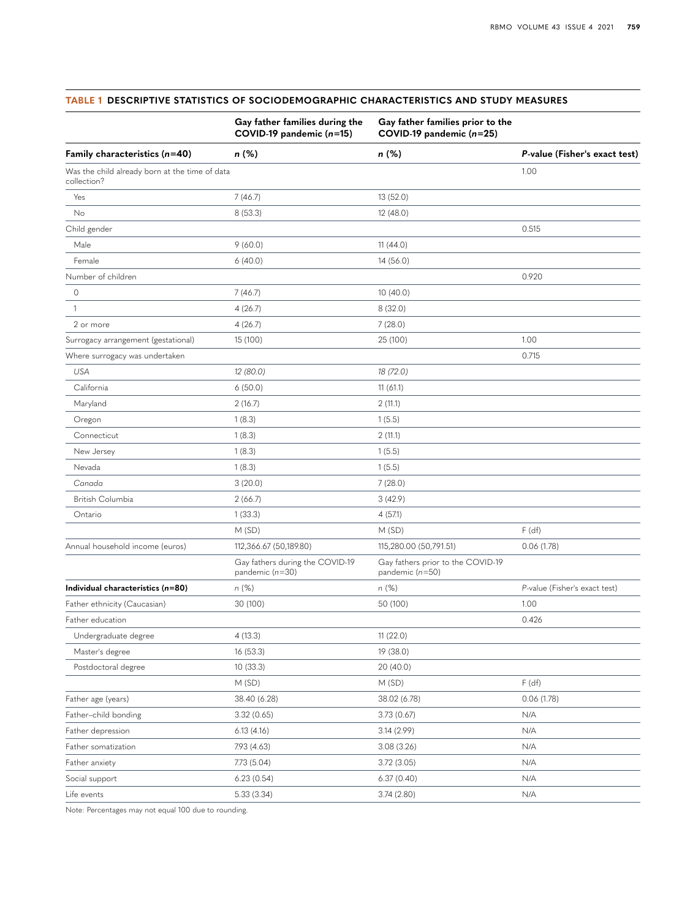|                                                               | Gay father families during the<br>COVID-19 pandemic (n=15) | Gay father families prior to the<br>COVID-19 pandemic (n=25) |                               |  |  |
|---------------------------------------------------------------|------------------------------------------------------------|--------------------------------------------------------------|-------------------------------|--|--|
| Family characteristics $(n=40)$                               | n (%)                                                      | n (%)                                                        | P-value (Fisher's exact test) |  |  |
| Was the child already born at the time of data<br>collection? |                                                            |                                                              | 1.00                          |  |  |
| Yes                                                           | 7(46.7)                                                    | 13 (52.0)                                                    |                               |  |  |
| No                                                            | 8(53.3)                                                    | 12 (48.0)                                                    |                               |  |  |
| Child gender                                                  |                                                            |                                                              | 0.515                         |  |  |
| Male                                                          | 9(60.0)                                                    | 11(44.0)                                                     |                               |  |  |
| Female                                                        | 6(40.0)                                                    | 14(56.0)                                                     |                               |  |  |
| Number of children                                            |                                                            |                                                              | 0.920                         |  |  |
| $\circ$                                                       | 7(46.7)                                                    | 10(40.0)                                                     |                               |  |  |
| $\mathbf{1}$                                                  | 4(26.7)                                                    | 8(32.0)                                                      |                               |  |  |
| 2 or more                                                     | 4(26.7)                                                    | 7(28.0)                                                      |                               |  |  |
| Surrogacy arrangement (gestational)                           | 15 (100)                                                   | 25 (100)                                                     | 1.00                          |  |  |
| Where surrogacy was undertaken                                |                                                            |                                                              | 0.715                         |  |  |
| <b>USA</b>                                                    | 12 (80.0)                                                  | 18 (72.0)                                                    |                               |  |  |
| California                                                    | 6(50.0)                                                    | 11(61.1)                                                     |                               |  |  |
| Maryland                                                      | 2(16.7)                                                    | 2(11.1)                                                      |                               |  |  |
| Oregon                                                        | 1(8.3)                                                     | 1(5.5)                                                       |                               |  |  |
| Connecticut                                                   | 1(8.3)                                                     | 2(11.1)                                                      |                               |  |  |
| New Jersey                                                    | 1(8.3)                                                     | 1(5.5)                                                       |                               |  |  |
| Nevada                                                        | 1(8.3)                                                     | 1(5.5)                                                       |                               |  |  |
| Canada                                                        | 3(20.0)                                                    | 7(28.0)                                                      |                               |  |  |
| British Columbia                                              | 2(66.7)                                                    | 3(42.9)                                                      |                               |  |  |
| Ontario                                                       | 1(33.3)                                                    | 4(57.1)                                                      |                               |  |  |
|                                                               | M(SD)                                                      | M(SD)                                                        | F(df)                         |  |  |
| Annual household income (euros)                               | 112,366.67 (50,189.80)                                     | 115,280.00 (50,791.51)                                       | 0.06(1.78)                    |  |  |
|                                                               | Gay fathers during the COVID-19<br>pandemic (n=30)         | Gay fathers prior to the COVID-19<br>pandemic $(n=50)$       |                               |  |  |
| Individual characteristics (n=80)                             | $n$ (%)                                                    | $n$ (%)                                                      | P-value (Fisher's exact test) |  |  |
| Father ethnicity (Caucasian)                                  | 30 (100)                                                   | 50 (100)                                                     | 1.00                          |  |  |
| Father education                                              |                                                            |                                                              | 0.426                         |  |  |
| Undergraduate degree                                          | 4(13.3)                                                    | 11 (22.0)                                                    |                               |  |  |
| Master's degree                                               | 16 (53.3)                                                  | 19 (38.0)                                                    |                               |  |  |
| Postdoctoral degree                                           | 10 (33.3)                                                  | 20 (40.0)                                                    |                               |  |  |
|                                                               | M (SD)                                                     | M (SD)                                                       | F(df)                         |  |  |
| Father age (years)                                            | 38.40 (6.28)                                               | 38.02 (6.78)                                                 | 0.06(1.78)                    |  |  |
| Father-child bonding                                          | 3.32(0.65)                                                 | 3.73(0.67)                                                   | N/A                           |  |  |
| Father depression                                             | 6.13(4.16)                                                 | 3.14 (2.99)                                                  | N/A                           |  |  |
| Father somatization                                           | 7.93 (4.63)                                                | 3.08(3.26)                                                   | N/A                           |  |  |
| Father anxiety                                                | 7.73 (5.04)                                                | 3.72(3.05)                                                   | N/A                           |  |  |
| Social support                                                | 6.23(0.54)                                                 | 6.37(0.40)                                                   | N/A                           |  |  |
| Life events                                                   | 5.33 (3.34)                                                | 3.74(2.80)                                                   | N/A                           |  |  |
|                                                               |                                                            |                                                              |                               |  |  |

#### <span id="page-4-0"></span>**TABLE 1 DESCRIPTIVE STATISTICS OF SOCIODEMOGRAPHIC CHARACTERISTICS AND STUDY MEASURES**

Note: Percentages may not equal 100 due to rounding.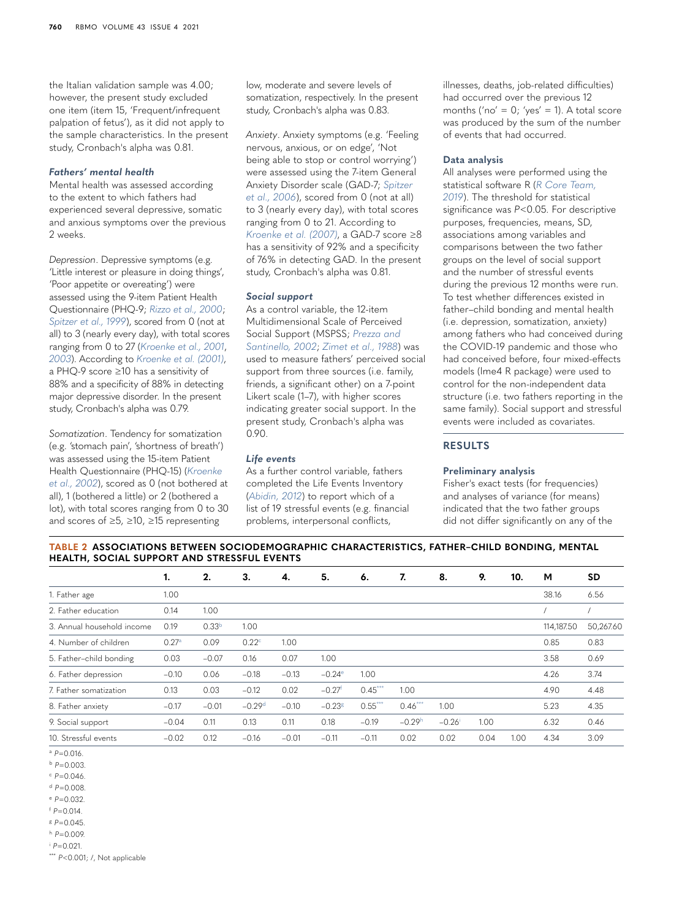the Italian validation sample was 4.00; however, the present study excluded one item (item 15, 'Frequent/infrequent palpation of fetus'), as it did not apply to the sample characteristics. In the present study, Cronbach's alpha was 0.81.

#### *Fathers' mental health*

Mental health was assessed according to the extent to which fathers had experienced several depressive, somatic and anxious symptoms over the previous 2 weeks.

*Depression*. Depressive symptoms (e.g. 'Little interest or pleasure in doing things', 'Poor appetite or overeating') were assessed using the 9-item Patient Health Questionnaire (PHQ-9; *[Rizzo et al., 2000](#page-9-19)*; *[Spitzer et al., 1999](#page-9-20)*), scored from 0 (not at all) to 3 (nearly every day), with total scores ranging from 0 to 27 (*[Kroenke et al., 2001](#page-9-21)*, *[2003](#page-9-22)*). According to *[Kroenke et al. \(2001\)](#page-9-21)*, a PHQ-9 score ≥10 has a sensitivity of 88% and a specificity of 88% in detecting major depressive disorder. In the present study, Cronbach's alpha was 0.79.

*Somatization*. Tendency for somatization (e.g. 'stomach pain', 'shortness of breath') was assessed using the 15-item Patient Health Questionnaire (PHQ-15) (*[Kroenke](#page-9-23)  [et al., 2002](#page-9-23)*), scored as 0 (not bothered at all), 1 (bothered a little) or 2 (bothered a lot), with total scores ranging from 0 to 30 and scores of ≥5, ≥10, ≥15 representing

low, moderate and severe levels of somatization, respectively. In the present study, Cronbach's alpha was 0.83.

*Anxiety*. Anxiety symptoms (e.g. 'Feeling nervous, anxious, or on edge', 'Not being able to stop or control worrying') were assessed using the 7-item General Anxiety Disorder scale (GAD-7; *[Spitzer](#page-9-24)  [et al., 2006](#page-9-24)*), scored from 0 (not at all) to 3 (nearly every day), with total scores ranging from 0 to 21. According to *[Kroenke et al. \(2007\)](#page-9-25)*, a GAD-7 score ≥8 has a sensitivity of 92% and a specificity of 76% in detecting GAD. In the present study, Cronbach's alpha was 0.81.

#### *Social support*

As a control variable, the 12-item Multidimensional Scale of Perceived Social Support (MSPSS; *[Prezza and](#page-9-26)  [Santinello, 2002](#page-9-26)*; *[Zimet et al., 1988](#page-9-27)*) was used to measure fathers' perceived social support from three sources (i.e. family, friends, a significant other) on a 7-point Likert scale (1–7), with higher scores indicating greater social support. In the present study, Cronbach's alpha was 0.90.

#### *Life events*

As a further control variable, fathers completed the Life Events Inventory (*[Abidin, 2012](#page-8-17)*) to report which of a list of 19 stressful events (e.g. financial problems, interpersonal conflicts,

illnesses, deaths, job-related difficulties) had occurred over the previous 12 months ('no' =  $0$ ; 'yes' = 1). A total score was produced by the sum of the number of events that had occurred.

#### **Data analysis**

All analyses were performed using the statistical software R (*[R Core Team,](#page-9-28)  [2019](#page-9-28)*). The threshold for statistical significance was *P*<0.05. For descriptive purposes, frequencies, means, SD, associations among variables and comparisons between the two father groups on the level of social support and the number of stressful events during the previous 12 months were run. To test whether differences existed in father–child bonding and mental health (i.e. depression, somatization, anxiety) among fathers who had conceived during the COVID-19 pandemic and those who had conceived before, four mixed-effects models (lme4 R package) were used to control for the non-independent data structure (i.e. two fathers reporting in the same family). Social support and stressful events were included as covariates.

#### **RESULTS**

#### **Preliminary analysis**

Fisher's exact tests (for frequencies) and analyses of variance (for means) indicated that the two father groups did not differ significantly on any of the

<span id="page-5-10"></span>**TABLE 2 ASSOCIATIONS BETWEEN SOCIODEMOGRAPHIC CHARACTERISTICS, FATHER–CHILD BONDING, MENTAL HEALTH, SOCIAL SUPPORT AND STRESSFUL EVENTS**

|                            | 1.                | 2.                | 3.                | 4.      | 5.                   | 6.        | 7.        | 8.                   | 9.   | 10.  | м          | <b>SD</b> |
|----------------------------|-------------------|-------------------|-------------------|---------|----------------------|-----------|-----------|----------------------|------|------|------------|-----------|
| 1. Father age              | 1.00              |                   |                   |         |                      |           |           |                      |      |      | 38.16      | 6.56      |
| 2. Father education        | 0.14              | 1.00              |                   |         |                      |           |           |                      |      |      |            |           |
| 3. Annual household income | 0.19              | 0.33 <sup>b</sup> | 1.00              |         |                      |           |           |                      |      |      | 114.187.50 | 50,267.60 |
| 4. Number of children      | 0.27 <sup>a</sup> | 0.09              | 0.22 <sup>c</sup> | 1.00    |                      |           |           |                      |      |      | 0.85       | 0.83      |
| 5. Father-child bonding    | 0.03              | $-0.07$           | 0.16              | 0.07    | 1.00                 |           |           |                      |      |      | 3.58       | 0.69      |
| 6. Father depression       | $-0.10$           | 0.06              | $-0.18$           | $-0.13$ | $-0.24e$             | 1.00      |           |                      |      |      | 4.26       | 3.74      |
| 7. Father somatization     | 0.13              | 0.03              | $-0.12$           | 0.02    | $-0.27$ <sup>t</sup> | $0.45***$ | 1.00      |                      |      |      | 4.90       | 4.48      |
| 8. Father anxiety          | $-0.17$           | $-0.01$           | $-0.29d$          | $-0.10$ | $-0.238$             | $0.55***$ | $0.46***$ | 1.00                 |      |      | 5.23       | 4.35      |
| 9. Social support          | $-0.04$           | 0.11              | 0.13              | 0.11    | 0.18                 | $-0.19$   | $-0.29h$  | $-0.26$ <sup>i</sup> | 1.00 |      | 6.32       | 0.46      |
| 10. Stressful events       | $-0.02$           | 0.12              | $-0.16$           | $-0.01$ | $-0.11$              | $-0.11$   | 0.02      | 0.02                 | 0.04 | 1.00 | 4.34       | 3.09      |

<span id="page-5-1"></span> $^{a}P=0.016$ .

- <span id="page-5-0"></span><sup>b</sup> *P*=0.003.
- <span id="page-5-2"></span> $P = 0.046$ .

<span id="page-5-6"></span> $d P = 0.008$ 

<span id="page-5-3"></span> $P = 0.032$ 

<span id="page-5-4"></span> $f$   $P = 0.014$ .

<span id="page-5-7"></span><sup>g</sup> *P*=0.045.  $h$   $P = 0.009$ 

<span id="page-5-8"></span>

<span id="page-5-9"></span> $P = 0.021$ 

<span id="page-5-5"></span>\*\*\*  $P < 0.001$ ; /, Not applicable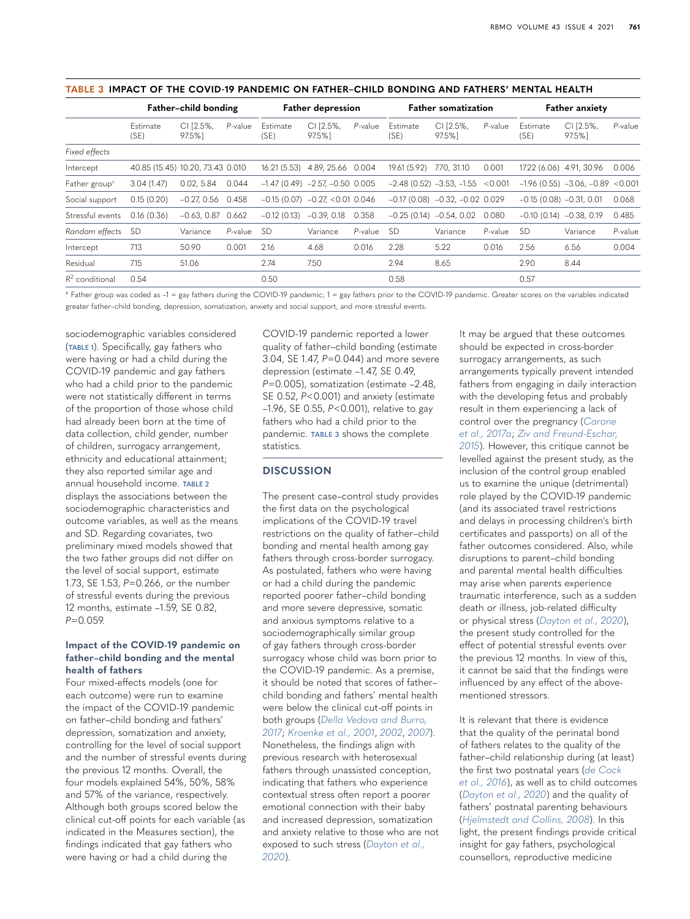|                           | Father-child bonding             |                    |         | <b>Father depression</b> |                                 |            | <b>Father somatization</b> |                                  |         | <b>Father anxiety</b>     |                                    |            |
|---------------------------|----------------------------------|--------------------|---------|--------------------------|---------------------------------|------------|----------------------------|----------------------------------|---------|---------------------------|------------------------------------|------------|
|                           | Estimate<br>(SE)                 | CI [2.5%,<br>97.5% | P-value | Estimate<br>(SE)         | CI [2.5%,<br>97.5%              | P-value    | Estimate<br>(SE)           | CI [2.5%,<br>97.5%               | P-value | Estimate<br>(SE)          | CI [2.5%,<br>97.5%                 | $P$ -value |
| Fixed effects             |                                  |                    |         |                          |                                 |            |                            |                                  |         |                           |                                    |            |
| Intercept                 | 40.85 (15.45) 10.20, 73.43 0.010 |                    |         | 16.21 (5.53)             | 4.89, 25.66 0.004               |            | 19.61 (5.92)               | 7.70, 31.10                      | 0.001   | 17.22 (6.06) 4.91, 30.96  |                                    | 0.006      |
| Father group <sup>a</sup> | 3.04(1.47)                       | 0.02.5.84          | 0.044   |                          | $-1.47(0.49) -2.57 -0.50 0.005$ |            |                            | $-2.48(0.52) -3.53, -1.55$       | < 0.001 |                           | $-1.96(0.55) -3.06, -0.89 < 0.001$ |            |
| Social support            | 0.15(0.20)                       | $-0.27.0.56$       | 0.458   | $-0.15(0.07)$            | $-0.27 < 0.01$ 0.046            |            |                            | $-0.17(0.08) -0.32, -0.02 0.029$ |         | $-0.15(0.08) -0.31(0.01)$ |                                    | 0.068      |
| Stressful events          | 0.16(0.36)                       | $-0.63, 0.87$      | 0.662   | $-0.12(0.13)$            | $-0.39, 0.18$                   | 0.358      |                            | $-0.25(0.14) -0.54, 0.02$        | 0.080   | $-0.10(0.14) -0.38, 0.19$ |                                    | 0.485      |
| Random effects            | <b>SD</b>                        | Variance           | P-value | <b>SD</b>                | Variance                        | $P$ -value | -SD                        | Variance                         | P-value | <b>SD</b>                 | Variance                           | P-value    |
| Intercept                 | 7.13                             | 50.90              | 0.001   | 2.16                     | 4.68                            | 0.016      | 2.28                       | 5.22                             | 0.016   | 2.56                      | 6.56                               | 0.004      |
| Residual                  | 7.15                             | 51.06              |         | 2.74                     | 7.50                            |            | 2.94                       | 8.65                             |         | 2.90                      | 8.44                               |            |
| $R^2$ conditional         | 0.54                             |                    |         | 0.50                     |                                 |            | 0.58                       |                                  |         | 0.57                      |                                    |            |

#### <span id="page-6-0"></span>**TABLE 3 IMPACT OF THE COVID-19 PANDEMIC ON FATHER–CHILD BONDING AND FATHERS' MENTAL HEALTH**

<span id="page-6-1"></span> $a$  Father group was coded as  $-1 =$  gay fathers during the COVID-19 pandemic;  $1 =$  gay fathers prior to the COVID-19 pandemic. Greater scores on the variables indicated greater father–child bonding, depression, somatization, anxiety and social support, and more stressful events.

sociodemographic variables considered (**[TABLE 1](#page-4-0)**). Specifically, gay fathers who were having or had a child during the COVID-19 pandemic and gay fathers who had a child prior to the pandemic were not statistically different in terms of the proportion of those whose child had already been born at the time of data collection, child gender, number of children, surrogacy arrangement, ethnicity and educational attainment; they also reported similar age and annual household income. **[TABLE 2](#page-5-10)** displays the associations between the sociodemographic characteristics and outcome variables, as well as the means and SD. Regarding covariates, two preliminary mixed models showed that the two father groups did not differ on the level of social support, estimate 1.73, SE 1.53, *P*=0*.*266, or the number of stressful events during the previous 12 months, estimate –1.59, SE 0.82, *P*=0*.*059.

#### **Impact of the COVID-19 pandemic on father–child bonding and the mental health of fathers**

Four mixed-effects models (one for each outcome) were run to examine the impact of the COVID-19 pandemic on father–child bonding and fathers' depression, somatization and anxiety, controlling for the level of social support and the number of stressful events during the previous 12 months. Overall, the four models explained 54%, 50%, 58% and 57% of the variance, respectively. Although both groups scored below the clinical cut-off points for each variable (as indicated in the Measures section), the findings indicated that gay fathers who were having or had a child during the

COVID-19 pandemic reported a lower quality of father–child bonding (estimate 3.04, SE 1.47, *P*=0*.*044) and more severe depression (estimate –1.47, SE 0.49, *P*=0*.*005), somatization (estimate –2.48, SE 0.52, *P<*0.001) and anxiety (estimate –1.96, SE 0.55, *P*<0.001), relative to gay fathers who had a child prior to the pandemic. **[TABLE 3](#page-6-0)** shows the complete statistics.

#### **DISCUSSION**

The present case–control study provides the first data on the psychological implications of the COVID-19 travel restrictions on the quality of father–child bonding and mental health among gay fathers through cross-border surrogacy. As postulated, fathers who were having or had a child during the pandemic reported poorer father–child bonding and more severe depressive, somatic and anxious symptoms relative to a sociodemographically similar group of gay fathers through cross-border surrogacy whose child was born prior to the COVID-19 pandemic. As a premise, it should be noted that scores of father– child bonding and fathers' mental health were below the clinical cut-off points in both groups (*[Della Vedova and Burro,](#page-8-16)  [2017](#page-8-16)*; *[Kroenke et al., 2001](#page-9-21)*, *[2002](#page-9-23)*, *[2007](#page-9-25)*). Nonetheless, the findings align with previous research with heterosexual fathers through unassisted conception, indicating that fathers who experience contextual stress often report a poorer emotional connection with their baby and increased depression, somatization and anxiety relative to those who are not exposed to such stress (*[Dayton et al.,](#page-8-18)  [2020](#page-8-18)*).

It may be argued that these outcomes should be expected in cross-border surrogacy arrangements, as such arrangements typically prevent intended fathers from engaging in daily interaction with the developing fetus and probably result in them experiencing a lack of control over the pregnancy (*[Carone](#page-8-0)  [et al., 2017a](#page-8-0)*; *[Ziv and Freund-Eschar,](#page-9-11)  [2015](#page-9-11)*). However, this critique cannot be levelled against the present study, as the inclusion of the control group enabled us to examine the unique (detrimental) role played by the COVID-19 pandemic (and its associated travel restrictions and delays in processing children's birth certificates and passports) on all of the father outcomes considered. Also, while disruptions to parent–child bonding and parental mental health difficulties may arise when parents experience traumatic interference, such as a sudden death or illness, job-related difficulty or physical stress (*[Dayton et al., 2020](#page-8-18)*), the present study controlled for the effect of potential stressful events over the previous 12 months. In view of this, it cannot be said that the findings were influenced by any effect of the abovementioned stressors.

It is relevant that there is evidence that the quality of the perinatal bond of fathers relates to the quality of the father–child relationship during (at least) the first two postnatal years (*[de Cock](#page-8-19)  [et al., 2016](#page-8-19)*), as well as to child outcomes (*[Dayton et al., 2020](#page-8-18)*) and the quality of fathers' postnatal parenting behaviours (*[Hjelmstedt and Collins, 2008](#page-8-20)*). In this light, the present findings provide critical insight for gay fathers, psychological counsellors, reproductive medicine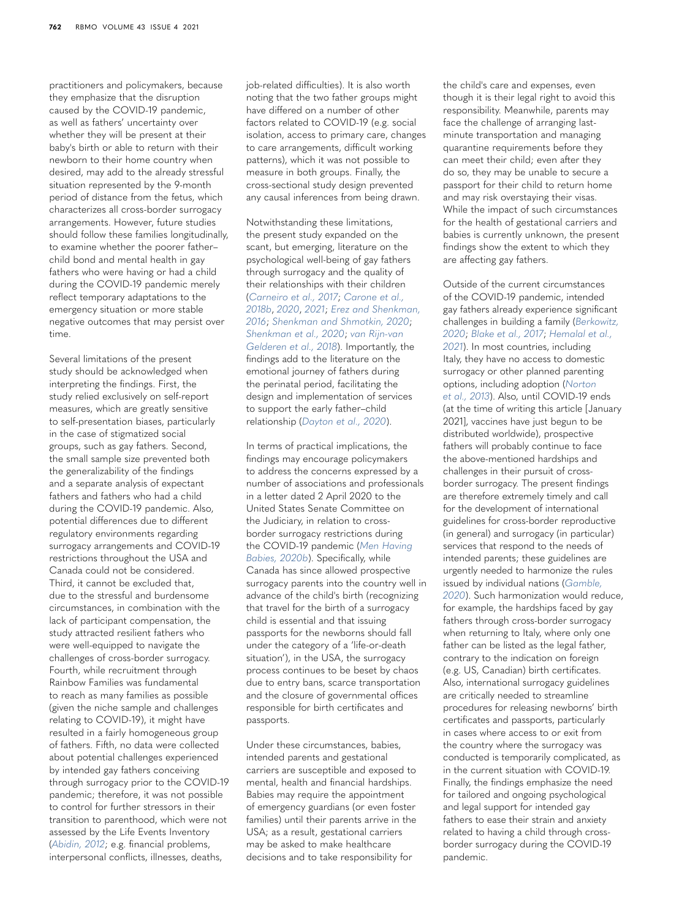practitioners and policymakers, because they emphasize that the disruption caused by the COVID-19 pandemic, as well as fathers' uncertainty over whether they will be present at their baby's birth or able to return with their newborn to their home country when desired, may add to the already stressful situation represented by the 9-month period of distance from the fetus, which characterizes all cross-border surrogacy arrangements. However, future studies should follow these families longitudinally, to examine whether the poorer father– child bond and mental health in gay fathers who were having or had a child during the COVID-19 pandemic merely reflect temporary adaptations to the emergency situation or more stable negative outcomes that may persist over time.

Several limitations of the present study should be acknowledged when interpreting the findings. First, the study relied exclusively on self-report measures, which are greatly sensitive to self-presentation biases, particularly in the case of stigmatized social groups, such as gay fathers. Second, the small sample size prevented both the generalizability of the findings and a separate analysis of expectant fathers and fathers who had a child during the COVID-19 pandemic. Also, potential differences due to different regulatory environments regarding surrogacy arrangements and COVID-19 restrictions throughout the USA and Canada could not be considered. Third, it cannot be excluded that, due to the stressful and burdensome circumstances, in combination with the lack of participant compensation, the study attracted resilient fathers who were well-equipped to navigate the challenges of cross-border surrogacy. Fourth, while recruitment through Rainbow Families was fundamental to reach as many families as possible (given the niche sample and challenges relating to COVID-19), it might have resulted in a fairly homogeneous group of fathers. Fifth, no data were collected about potential challenges experienced by intended gay fathers conceiving through surrogacy prior to the COVID-19 pandemic; therefore, it was not possible to control for further stressors in their transition to parenthood, which were not assessed by the Life Events Inventory (*[Abidin, 2012](#page-8-17)*; e.g. financial problems, interpersonal conflicts, illnesses, deaths,

job-related difficulties). It is also worth noting that the two father groups might have differed on a number of other factors related to COVID-19 (e.g. social isolation, access to primary care, changes to care arrangements, difficult working patterns), which it was not possible to measure in both groups. Finally, the cross-sectional study design prevented any causal inferences from being drawn.

Notwithstanding these limitations, the present study expanded on the scant, but emerging, literature on the psychological well-being of gay fathers through surrogacy and the quality of their relationships with their children (*[Carneiro et al., 2017](#page-8-21)*; *[Carone et al.,](#page-8-22)  [2018b](#page-8-22)*, *[2020](#page-8-23)*, *[2021](#page-8-24)*; *[Erez and Shenkman,](#page-8-25)  [2016](#page-8-25)*; *[Shenkman and Shmotkin, 2020](#page-9-29)*; *[Shenkman et al., 2020](#page-9-30)*; *[van Rijn-van](#page-9-31)  [Gelderen et al., 2018](#page-9-31)*). Importantly, the findings add to the literature on the emotional journey of fathers during the perinatal period, facilitating the design and implementation of services to support the early father–child relationship (*[Dayton et al., 2020](#page-8-18)*).

In terms of practical implications, the findings may encourage policymakers to address the concerns expressed by a number of associations and professionals in a letter dated 2 April 2020 to the United States Senate Committee on the Judiciary, in relation to crossborder surrogacy restrictions during the COVID-19 pandemic (*[Men Having](#page-9-6)  [Babies, 2020b](#page-9-6)*). Specifically, while Canada has since allowed prospective surrogacy parents into the country well in advance of the child's birth (recognizing that travel for the birth of a surrogacy child is essential and that issuing passports for the newborns should fall under the category of a 'life-or-death situation'), in the USA, the surrogacy process continues to be beset by chaos due to entry bans, scarce transportation and the closure of governmental offices responsible for birth certificates and passports.

Under these circumstances, babies, intended parents and gestational carriers are susceptible and exposed to mental, health and financial hardships. Babies may require the appointment of emergency guardians (or even foster families) until their parents arrive in the USA; as a result, gestational carriers may be asked to make healthcare decisions and to take responsibility for

the child's care and expenses, even though it is their legal right to avoid this responsibility. Meanwhile, parents may face the challenge of arranging lastminute transportation and managing quarantine requirements before they can meet their child; even after they do so, they may be unable to secure a passport for their child to return home and may risk overstaying their visas. While the impact of such circumstances for the health of gestational carriers and babies is currently unknown, the present findings show the extent to which they are affecting gay fathers.

Outside of the current circumstances of the COVID-19 pandemic, intended gay fathers already experience significant challenges in building a family (*[Berkowitz,](#page-8-8)  [2020](#page-8-8)*; *[Blake et al., 2017](#page-8-26)*; *[Hemalal et al.,](#page-8-7)  [2021](#page-8-7)*). In most countries, including Italy, they have no access to domestic surrogacy or other planned parenting options, including adoption (*[Norton](#page-9-7)  [et al., 2013](#page-9-7)*). Also, until COVID-19 ends (at the time of writing this article [January 2021], vaccines have just begun to be distributed worldwide), prospective fathers will probably continue to face the above-mentioned hardships and challenges in their pursuit of crossborder surrogacy. The present findings are therefore extremely timely and call for the development of international guidelines for cross-border reproductive (in general) and surrogacy (in particular) services that respond to the needs of intended parents; these guidelines are urgently needed to harmonize the rules issued by individual nations (*[Gamble,](#page-8-27)  [2020](#page-8-27)*). Such harmonization would reduce, for example, the hardships faced by gay fathers through cross-border surrogacy when returning to Italy, where only one father can be listed as the legal father, contrary to the indication on foreign (e.g. US, Canadian) birth certificates. Also, international surrogacy guidelines are critically needed to streamline procedures for releasing newborns' birth certificates and passports, particularly in cases where access to or exit from the country where the surrogacy was conducted is temporarily complicated, as in the current situation with COVID-19. Finally, the findings emphasize the need for tailored and ongoing psychological and legal support for intended gay fathers to ease their strain and anxiety related to having a child through crossborder surrogacy during the COVID-19 pandemic.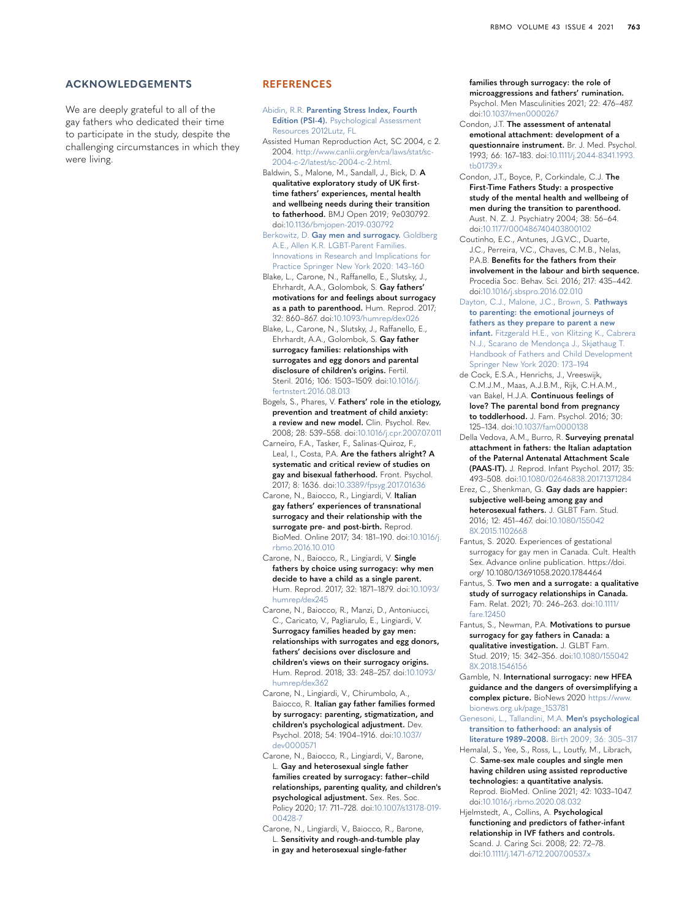#### **ACKNOWLEDGEMENTS**

We are deeply grateful to all of the gay fathers who dedicated their time to participate in the study, despite the challenging circumstances in which they were living.

#### **REFERENCES**

<span id="page-8-17"></span>Abidin, R.R. **[Parenting Stress Index, Fourth](http://refhub.elsevier.com/S1472-6483(21)00282-0/sbref0001)  Edition (PSI-4).** Psychological Assessment [Resources 2012Lutz, FL](http://refhub.elsevier.com/S1472-6483(21)00282-0/sbref0001)

<span id="page-8-2"></span>Assisted Human Reproduction Act, SC 2004, c 2. 2004. [http://www.canlii.org/en/ca/laws/stat/sc-](http://www.canlii.org/en/ca/laws/stat/sc-2004-c-2/latest/sc-2004-c-2.html)[2004-c-2/latest/sc-2004-c-2.html.](http://www.canlii.org/en/ca/laws/stat/sc-2004-c-2/latest/sc-2004-c-2.html)

<span id="page-8-12"></span>Baldwin, S., Malone, M., Sandall, J., Bick, D. **A qualitative exploratory study of UK firsttime fathers' experiences, mental health and wellbeing needs during their transition to fatherhood.** BMJ Open 2019; 9e030792. doi:[10.1136/bmjopen-2019-030792](http://dx.doi.org/10.1136/bmjopen-2019-030792)

<span id="page-8-8"></span>Berkowitz, D. **[Gay men and surrogacy.](http://refhub.elsevier.com/S1472-6483(21)00282-0/sbref0004)** Goldberg [A.E., Allen K.R. LGBT-Parent Families.](http://refhub.elsevier.com/S1472-6483(21)00282-0/sbref0004)  [Innovations in Research and Implications for](http://refhub.elsevier.com/S1472-6483(21)00282-0/sbref0004)  [Practice Springer New York 2020: 143–160](http://refhub.elsevier.com/S1472-6483(21)00282-0/sbref0004)

<span id="page-8-26"></span>Blake, L., Carone, N., Raffanello, E., Slutsky, J., Ehrhardt, A.A., Golombok, S. **Gay fathers' motivations for and feelings about surrogacy as a path to parenthood.** Hum. Reprod. 2017;

<span id="page-8-11"></span>32: 860–867. doi[:10.1093/humrep/dex026](http://dx.doi.org/10.1093/humrep/dex026) Blake, L., Carone, N., Slutsky, J., Raffanello, E., Ehrhardt, A.A., Golombok, S. **Gay father surrogacy families: relationships with** 

**surrogates and egg donors and parental disclosure of children's origins.** Fertil. Steril. 2016; 106: 1503–1509. doi:[10.1016/j.](http://dx.doi.org/10.1016/j.fertnstert.2016.08.013) [fertnstert.2016.08.013](http://dx.doi.org/10.1016/j.fertnstert.2016.08.013)

<span id="page-8-10"></span>Bögels, S., Phares, V. **Fathers' role in the etiology, prevention and treatment of child anxiety: a review and new model.** Clin. Psychol. Rev. 2008; 28: 539–558. doi[:10.1016/j.cpr.2007.07.011](http://dx.doi.org/10.1016/j.cpr.2007.07.011)

<span id="page-8-21"></span>Carneiro, F.A., Tasker, F., Salinas-Quiroz, F., Leal, I., Costa, P.A. **Are the fathers alright? A systematic and critical review of studies on gay and bisexual fatherhood.** Front. Psychol. 2017; 8: 1636. doi:[10.3389/fpsyg.2017.01636](http://dx.doi.org/10.3389/fpsyg.2017.01636)

<span id="page-8-0"></span>Carone, N., Baiocco, R., Lingiardi, V. **Italian gay fathers' experiences of transnational surrogacy and their relationship with the surrogate pre- and post-birth.** Reprod. BioMed. Online 2017; 34: 181–190. doi[:10.1016/j.](http://dx.doi.org/10.1016/j.rbmo.2016.10.010) [rbmo.2016.10.010](http://dx.doi.org/10.1016/j.rbmo.2016.10.010)

<span id="page-8-3"></span>Carone, N., Baiocco, R., Lingiardi, V. **Single fathers by choice using surrogacy: why men decide to have a child as a single parent.** Hum. Reprod. 2017; 32: 1871–1879. doi[:10.1093/](http://dx.doi.org/10.1093/humrep/dex245) [humrep/dex245](http://dx.doi.org/10.1093/humrep/dex245)

<span id="page-8-1"></span>Carone, N., Baiocco, R., Manzi, D., Antoniucci, C., Caricato, V., Pagliarulo, E., Lingiardi, V. **Surrogacy families headed by gay men: relationships with surrogates and egg donors, fathers' decisions over disclosure and children's views on their surrogacy origins.** Hum. Reprod. 2018; 33: 248–257. doi[:10.1093/](http://dx.doi.org/10.1093/humrep/dex362) [humrep/dex362](http://dx.doi.org/10.1093/humrep/dex362)

<span id="page-8-22"></span>Carone, N., Lingiardi, V., Chirumbolo, A., Baiocco, R. **Italian gay father families formed by surrogacy: parenting, stigmatization, and children's psychological adjustment.** Dev. Psychol. 2018; 54: 1904–1916. doi:[10.1037/](http://dx.doi.org/10.1037/dev0000571) [dev0000571](http://dx.doi.org/10.1037/dev0000571)

<span id="page-8-23"></span>Carone, N., Baiocco, R., Lingiardi, V., Barone, L. **Gay and heterosexual single father families created by surrogacy: father–child relationships, parenting quality, and children's psychological adjustment.** Sex. Res. Soc. Policy 2020; 17: 711–728. doi[:10.1007/s13178-019-](http://dx.doi.org/10.1007/s13178-019-00428-7) [00428-7](http://dx.doi.org/10.1007/s13178-019-00428-7)

<span id="page-8-24"></span>Carone, N., Lingiardi, V., Baiocco, R., Barone, L. **Sensitivity and rough-and-tumble play in gay and heterosexual single-father** 

**families through surrogacy: the role of microaggressions and fathers' rumination.** Psychol. Men Masculinities 2021; 22: 476–487. doi:[10.1037/men0000267](http://dx.doi.org/10.1037/men0000267)

<span id="page-8-15"></span>Condon, J.T. **The assessment of antenatal emotional attachment: development of a questionnaire instrument.** Br. J. Med. Psychol. 1993; 66: 167–183. doi[:10.1111/j.2044-8341.1993.](http://dx.doi.org/10.1111/j.2044-8341.1993.tb01739.x) [tb01739.x](http://dx.doi.org/10.1111/j.2044-8341.1993.tb01739.x)

<span id="page-8-13"></span>Condon, J.T., Boyce, P., Corkindale, C.J. **The First-Time Fathers Study: a prospective study of the mental health and wellbeing of men during the transition to parenthood.** Aust. N. Z. J. Psychiatry 2004; 38: 56–64. doi:[10.1177/000486740403800102](http://dx.doi.org/10.1177/000486740403800102)

<span id="page-8-14"></span>Coutinho, E.C., Antunes, J.G.V.C., Duarte, J.C., Perreira, V.C., Chaves, C.M.B., Nelas, P.A.B. **Benefits for the fathers from their involvement in the labour and birth sequence.** Procedia Soc. Behav. Sci. 2016; 217: 435–442. doi:[10.1016/j.sbspro.2016.02.010](http://dx.doi.org/10.1016/j.sbspro.2016.02.010)

<span id="page-8-18"></span>[Dayton, C.J., Malone, J.C., Brown, S.](http://refhub.elsevier.com/S1472-6483(21)00282-0/sbref0018) **Pathways [to parenting: the emotional journeys of](http://refhub.elsevier.com/S1472-6483(21)00282-0/sbref0018)  [fathers as they prepare to parent a new](http://refhub.elsevier.com/S1472-6483(21)00282-0/sbref0018)  infant.** [Fitzgerald H.E., von Klitzing K., Cabrera](http://refhub.elsevier.com/S1472-6483(21)00282-0/sbref0018)  [N.J., Scarano de Mendonça J., Skjøthaug T.](http://refhub.elsevier.com/S1472-6483(21)00282-0/sbref0018)  [Handbook of Fathers and Child Development](http://refhub.elsevier.com/S1472-6483(21)00282-0/sbref0018)  [Springer New York 2020: 173–194](http://refhub.elsevier.com/S1472-6483(21)00282-0/sbref0018)

<span id="page-8-19"></span>de Cock, E.S.A., Henrichs, J., Vreeswijk, C.M.J.M., Maas, A.J.B.M., Rijk, C.H.A.M., van Bakel, H.J.A. **Continuous feelings of love? The parental bond from pregnancy to toddlerhood.** J. Fam. Psychol. 2016; 30: 125–134. doi:[10.1037/fam0000138](http://dx.doi.org/10.1037/fam0000138)

<span id="page-8-16"></span>Della Vedova, A.M., Burro, R. **Surveying prenatal attachment in fathers: the Italian adaptation of the Paternal Antenatal Attachment Scale (PAAS-IT).** J. Reprod. Infant Psychol. 2017; 35: 493–508. doi:[10.1080/02646838.2017.1371284](http://dx.doi.org/10.1080/02646838.2017.1371284)

<span id="page-8-25"></span>Erez, C., Shenkman, G. **Gay dads are happier: subjective well-being among gay and heterosexual fathers.** J. GLBT Fam. Stud. 2016; 12: 451–467. doi[:10.1080/155042](http://dx.doi.org/10.1080/1550428X.2015.1102668) [8X.2015.1102668](http://dx.doi.org/10.1080/1550428X.2015.1102668)

<span id="page-8-4"></span>Fantus, S. 2020. Experiences of gestational surrogacy for gay men in Canada. Cult. Health Sex. Advance online publication. https://doi. org/ 10.1080/13691058.2020.1784464

<span id="page-8-5"></span>Fantus, S. **Two men and a surrogate: a qualitative study of surrogacy relationships in Canada.** Fam. Relat. 2021; 70: 246–263. doi:[10.1111/](http://dx.doi.org/10.1111/fare.12450) [fare.12450](http://dx.doi.org/10.1111/fare.12450)

<span id="page-8-6"></span>Fantus, S., Newman, P.A. **Motivations to pursue surrogacy for gay fathers in Canada: a qualitative investigation.** J. GLBT Fam. Stud. 2019; 15: 342–356. doi[:10.1080/155042](http://dx.doi.org/10.1080/1550428X.2018.1546156) [8X.2018.1546156](http://dx.doi.org/10.1080/1550428X.2018.1546156)

<span id="page-8-27"></span>Gamble, N. **International surrogacy: new HFEA guidance and the dangers of oversimplifying a complex picture.** BioNews 2020 [https://www.](https://www.bionews.org.uk/page_153781) [bionews.org.uk/page\\_153781](https://www.bionews.org.uk/page_153781)

<span id="page-8-9"></span>[Genesoni, L., Tallandini, M.A.](http://refhub.elsevier.com/S1472-6483(21)00282-0/sbref0026) **Men's psychological [transition to fatherhood: an analysis of](http://refhub.elsevier.com/S1472-6483(21)00282-0/sbref0026)  literature 1989–2008.** [Birth 2009; 36: 305–317](http://refhub.elsevier.com/S1472-6483(21)00282-0/sbref0026)

<span id="page-8-7"></span>Hemalal, S., Yee, S., Ross, L., Loutfy, M., Librach, C. **Same-sex male couples and single men having children using assisted reproductive technologies: a quantitative analysis.** Reprod. BioMed. Online 2021; 42: 1033–1047. doi:[10.1016/j.rbmo.2020.08.032](http://dx.doi.org/10.1016/j.rbmo.2020.08.032)

<span id="page-8-20"></span>Hjelmstedt, A., Collins, A. **Psychological functioning and predictors of father-infant relationship in IVF fathers and controls.** Scand. J. Caring Sci. 2008; 22: 72–78. doi:[10.1111/j.1471-6712.2007.00537.x](http://dx.doi.org/10.1111/j.1471-6712.2007.00537.x)